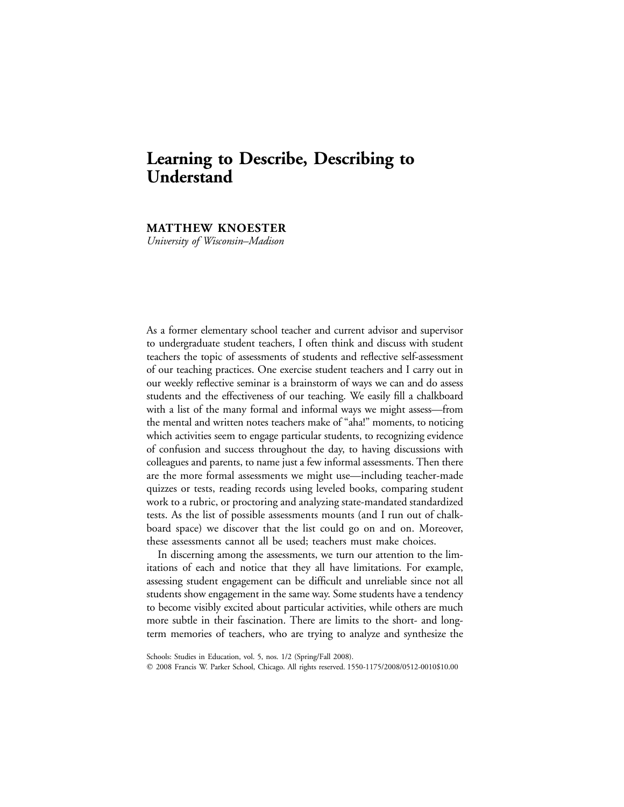## **Learning to Describe, Describing to Understand**

**MATTHEW KNOESTER**

*University of Wisconsin–Madison*

As a former elementary school teacher and current advisor and supervisor to undergraduate student teachers, I often think and discuss with student teachers the topic of assessments of students and reflective self-assessment of our teaching practices. One exercise student teachers and I carry out in our weekly reflective seminar is a brainstorm of ways we can and do assess students and the effectiveness of our teaching. We easily fill a chalkboard with a list of the many formal and informal ways we might assess—from the mental and written notes teachers make of "aha!" moments, to noticing which activities seem to engage particular students, to recognizing evidence of confusion and success throughout the day, to having discussions with colleagues and parents, to name just a few informal assessments. Then there are the more formal assessments we might use—including teacher-made quizzes or tests, reading records using leveled books, comparing student work to a rubric, or proctoring and analyzing state-mandated standardized tests. As the list of possible assessments mounts (and I run out of chalkboard space) we discover that the list could go on and on. Moreover, these assessments cannot all be used; teachers must make choices.

In discerning among the assessments, we turn our attention to the limitations of each and notice that they all have limitations. For example, assessing student engagement can be difficult and unreliable since not all students show engagement in the same way. Some students have a tendency to become visibly excited about particular activities, while others are much more subtle in their fascination. There are limits to the short- and longterm memories of teachers, who are trying to analyze and synthesize the

Schools: Studies in Education, vol. 5, nos. 1/2 (Spring/Fall 2008).

2008 Francis W. Parker School, Chicago. All rights reserved. 1550-1175/2008/0512-0010\$10.00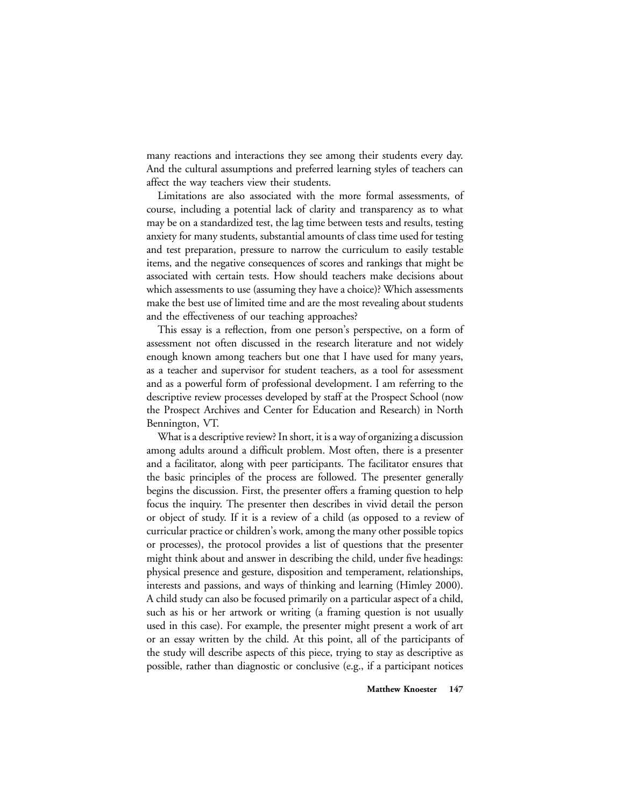many reactions and interactions they see among their students every day. And the cultural assumptions and preferred learning styles of teachers can affect the way teachers view their students.

Limitations are also associated with the more formal assessments, of course, including a potential lack of clarity and transparency as to what may be on a standardized test, the lag time between tests and results, testing anxiety for many students, substantial amounts of class time used for testing and test preparation, pressure to narrow the curriculum to easily testable items, and the negative consequences of scores and rankings that might be associated with certain tests. How should teachers make decisions about which assessments to use (assuming they have a choice)? Which assessments make the best use of limited time and are the most revealing about students and the effectiveness of our teaching approaches?

This essay is a reflection, from one person's perspective, on a form of assessment not often discussed in the research literature and not widely enough known among teachers but one that I have used for many years, as a teacher and supervisor for student teachers, as a tool for assessment and as a powerful form of professional development. I am referring to the descriptive review processes developed by staff at the Prospect School (now the Prospect Archives and Center for Education and Research) in North Bennington, VT.

What is a descriptive review? In short, it is a way of organizing a discussion among adults around a difficult problem. Most often, there is a presenter and a facilitator, along with peer participants. The facilitator ensures that the basic principles of the process are followed. The presenter generally begins the discussion. First, the presenter offers a framing question to help focus the inquiry. The presenter then describes in vivid detail the person or object of study. If it is a review of a child (as opposed to a review of curricular practice or children's work, among the many other possible topics or processes), the protocol provides a list of questions that the presenter might think about and answer in describing the child, under five headings: physical presence and gesture, disposition and temperament, relationships, interests and passions, and ways of thinking and learning (Himley 2000). A child study can also be focused primarily on a particular aspect of a child, such as his or her artwork or writing (a framing question is not usually used in this case). For example, the presenter might present a work of art or an essay written by the child. At this point, all of the participants of the study will describe aspects of this piece, trying to stay as descriptive as possible, rather than diagnostic or conclusive (e.g., if a participant notices

**Matthew Knoester 147**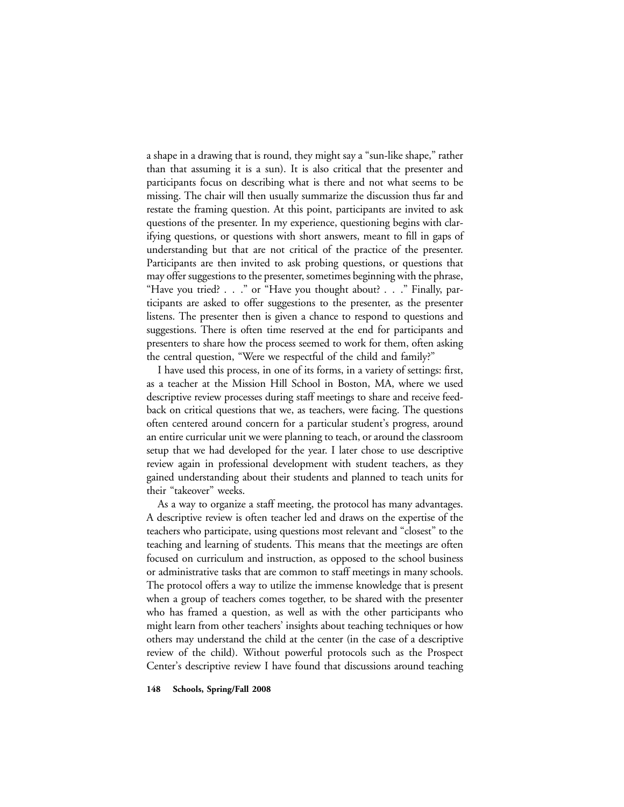a shape in a drawing that is round, they might say a "sun-like shape," rather than that assuming it is a sun). It is also critical that the presenter and participants focus on describing what is there and not what seems to be missing. The chair will then usually summarize the discussion thus far and restate the framing question. At this point, participants are invited to ask questions of the presenter. In my experience, questioning begins with clarifying questions, or questions with short answers, meant to fill in gaps of understanding but that are not critical of the practice of the presenter. Participants are then invited to ask probing questions, or questions that may offer suggestions to the presenter, sometimes beginning with the phrase, "Have you tried? . . ." or "Have you thought about? . . ." Finally, participants are asked to offer suggestions to the presenter, as the presenter listens. The presenter then is given a chance to respond to questions and suggestions. There is often time reserved at the end for participants and presenters to share how the process seemed to work for them, often asking the central question, "Were we respectful of the child and family?"

I have used this process, in one of its forms, in a variety of settings: first, as a teacher at the Mission Hill School in Boston, MA, where we used descriptive review processes during staff meetings to share and receive feedback on critical questions that we, as teachers, were facing. The questions often centered around concern for a particular student's progress, around an entire curricular unit we were planning to teach, or around the classroom setup that we had developed for the year. I later chose to use descriptive review again in professional development with student teachers, as they gained understanding about their students and planned to teach units for their "takeover" weeks.

As a way to organize a staff meeting, the protocol has many advantages. A descriptive review is often teacher led and draws on the expertise of the teachers who participate, using questions most relevant and "closest" to the teaching and learning of students. This means that the meetings are often focused on curriculum and instruction, as opposed to the school business or administrative tasks that are common to staff meetings in many schools. The protocol offers a way to utilize the immense knowledge that is present when a group of teachers comes together, to be shared with the presenter who has framed a question, as well as with the other participants who might learn from other teachers' insights about teaching techniques or how others may understand the child at the center (in the case of a descriptive review of the child). Without powerful protocols such as the Prospect Center's descriptive review I have found that discussions around teaching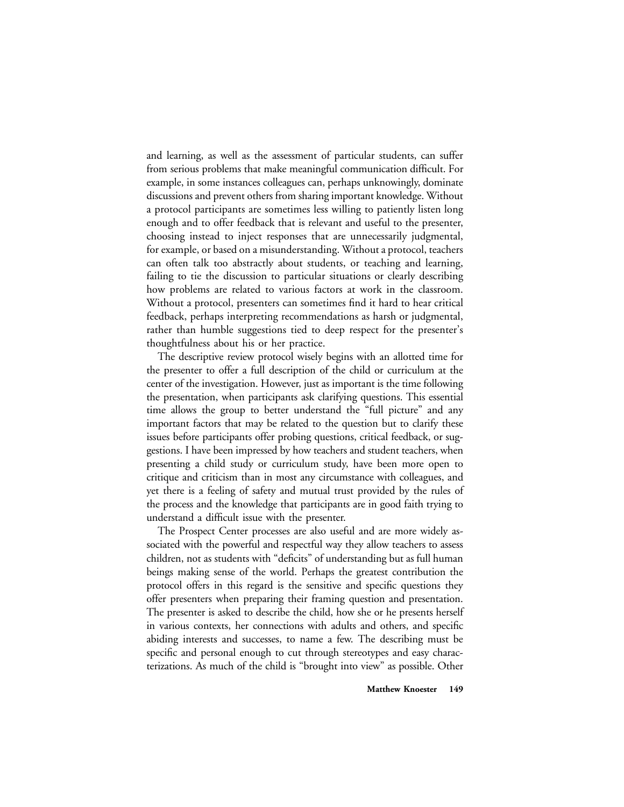and learning, as well as the assessment of particular students, can suffer from serious problems that make meaningful communication difficult. For example, in some instances colleagues can, perhaps unknowingly, dominate discussions and prevent others from sharing important knowledge. Without a protocol participants are sometimes less willing to patiently listen long enough and to offer feedback that is relevant and useful to the presenter, choosing instead to inject responses that are unnecessarily judgmental, for example, or based on a misunderstanding. Without a protocol, teachers can often talk too abstractly about students, or teaching and learning, failing to tie the discussion to particular situations or clearly describing how problems are related to various factors at work in the classroom. Without a protocol, presenters can sometimes find it hard to hear critical feedback, perhaps interpreting recommendations as harsh or judgmental, rather than humble suggestions tied to deep respect for the presenter's thoughtfulness about his or her practice.

The descriptive review protocol wisely begins with an allotted time for the presenter to offer a full description of the child or curriculum at the center of the investigation. However, just as important is the time following the presentation, when participants ask clarifying questions. This essential time allows the group to better understand the "full picture" and any important factors that may be related to the question but to clarify these issues before participants offer probing questions, critical feedback, or suggestions. I have been impressed by how teachers and student teachers, when presenting a child study or curriculum study, have been more open to critique and criticism than in most any circumstance with colleagues, and yet there is a feeling of safety and mutual trust provided by the rules of the process and the knowledge that participants are in good faith trying to understand a difficult issue with the presenter.

The Prospect Center processes are also useful and are more widely associated with the powerful and respectful way they allow teachers to assess children, not as students with "deficits" of understanding but as full human beings making sense of the world. Perhaps the greatest contribution the protocol offers in this regard is the sensitive and specific questions they offer presenters when preparing their framing question and presentation. The presenter is asked to describe the child, how she or he presents herself in various contexts, her connections with adults and others, and specific abiding interests and successes, to name a few. The describing must be specific and personal enough to cut through stereotypes and easy characterizations. As much of the child is "brought into view" as possible. Other

**Matthew Knoester 149**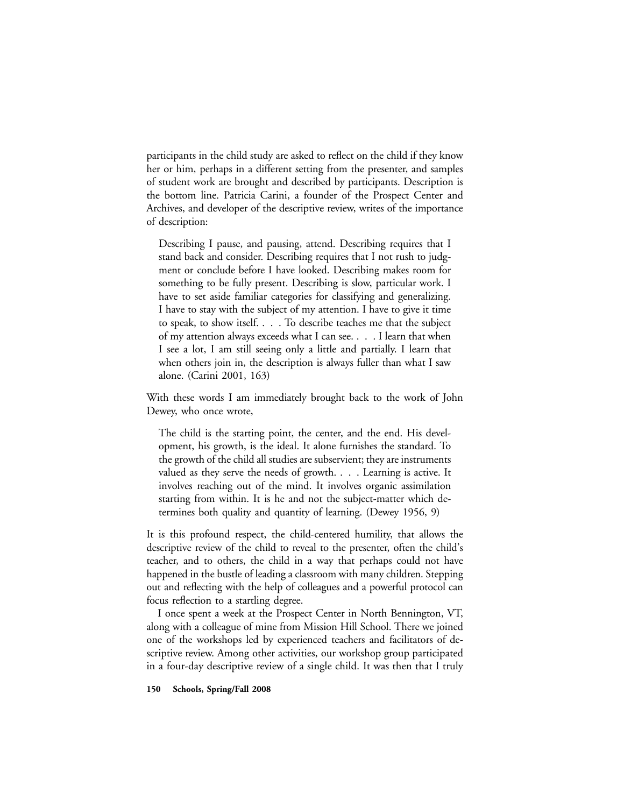participants in the child study are asked to reflect on the child if they know her or him, perhaps in a different setting from the presenter, and samples of student work are brought and described by participants. Description is the bottom line. Patricia Carini, a founder of the Prospect Center and Archives, and developer of the descriptive review, writes of the importance of description:

Describing I pause, and pausing, attend. Describing requires that I stand back and consider. Describing requires that I not rush to judgment or conclude before I have looked. Describing makes room for something to be fully present. Describing is slow, particular work. I have to set aside familiar categories for classifying and generalizing. I have to stay with the subject of my attention. I have to give it time to speak, to show itself. . . . To describe teaches me that the subject of my attention always exceeds what I can see. . . . I learn that when I see a lot, I am still seeing only a little and partially. I learn that when others join in, the description is always fuller than what I saw alone. (Carini 2001, 163)

With these words I am immediately brought back to the work of John Dewey, who once wrote,

The child is the starting point, the center, and the end. His development, his growth, is the ideal. It alone furnishes the standard. To the growth of the child all studies are subservient; they are instruments valued as they serve the needs of growth. . . . Learning is active. It involves reaching out of the mind. It involves organic assimilation starting from within. It is he and not the subject-matter which determines both quality and quantity of learning. (Dewey 1956, 9)

It is this profound respect, the child-centered humility, that allows the descriptive review of the child to reveal to the presenter, often the child's teacher, and to others, the child in a way that perhaps could not have happened in the bustle of leading a classroom with many children. Stepping out and reflecting with the help of colleagues and a powerful protocol can focus reflection to a startling degree.

I once spent a week at the Prospect Center in North Bennington, VT, along with a colleague of mine from Mission Hill School. There we joined one of the workshops led by experienced teachers and facilitators of descriptive review. Among other activities, our workshop group participated in a four-day descriptive review of a single child. It was then that I truly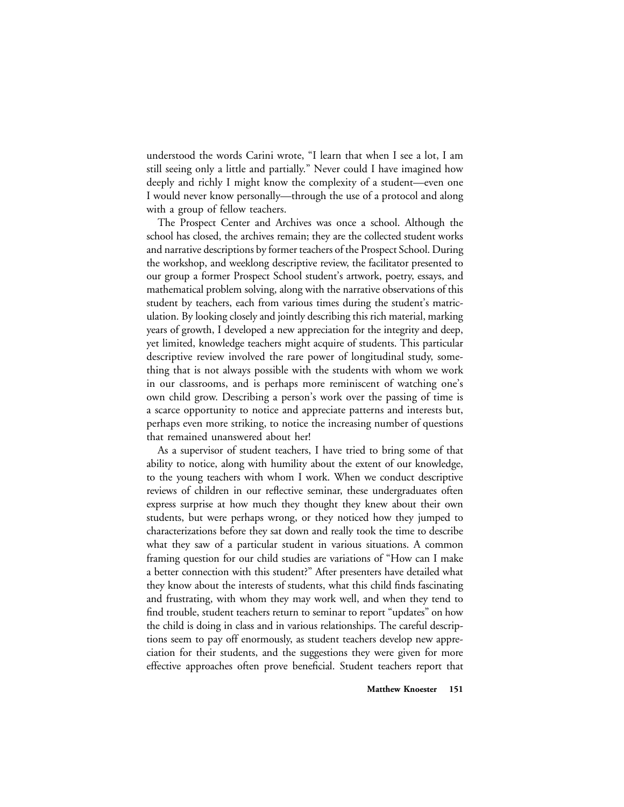understood the words Carini wrote, "I learn that when I see a lot, I am still seeing only a little and partially." Never could I have imagined how deeply and richly I might know the complexity of a student—even one I would never know personally—through the use of a protocol and along with a group of fellow teachers.

The Prospect Center and Archives was once a school. Although the school has closed, the archives remain; they are the collected student works and narrative descriptions by former teachers of the Prospect School. During the workshop, and weeklong descriptive review, the facilitator presented to our group a former Prospect School student's artwork, poetry, essays, and mathematical problem solving, along with the narrative observations of this student by teachers, each from various times during the student's matriculation. By looking closely and jointly describing this rich material, marking years of growth, I developed a new appreciation for the integrity and deep, yet limited, knowledge teachers might acquire of students. This particular descriptive review involved the rare power of longitudinal study, something that is not always possible with the students with whom we work in our classrooms, and is perhaps more reminiscent of watching one's own child grow. Describing a person's work over the passing of time is a scarce opportunity to notice and appreciate patterns and interests but, perhaps even more striking, to notice the increasing number of questions that remained unanswered about her!

As a supervisor of student teachers, I have tried to bring some of that ability to notice, along with humility about the extent of our knowledge, to the young teachers with whom I work. When we conduct descriptive reviews of children in our reflective seminar, these undergraduates often express surprise at how much they thought they knew about their own students, but were perhaps wrong, or they noticed how they jumped to characterizations before they sat down and really took the time to describe what they saw of a particular student in various situations. A common framing question for our child studies are variations of "How can I make a better connection with this student?" After presenters have detailed what they know about the interests of students, what this child finds fascinating and frustrating, with whom they may work well, and when they tend to find trouble, student teachers return to seminar to report "updates" on how the child is doing in class and in various relationships. The careful descriptions seem to pay off enormously, as student teachers develop new appreciation for their students, and the suggestions they were given for more effective approaches often prove beneficial. Student teachers report that

**Matthew Knoester 151**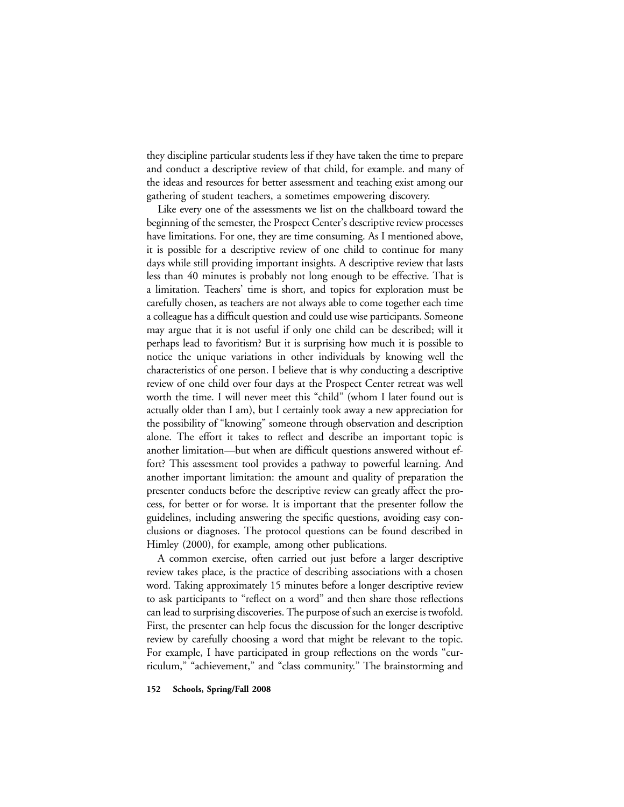they discipline particular students less if they have taken the time to prepare and conduct a descriptive review of that child, for example. and many of the ideas and resources for better assessment and teaching exist among our gathering of student teachers, a sometimes empowering discovery.

Like every one of the assessments we list on the chalkboard toward the beginning of the semester, the Prospect Center's descriptive review processes have limitations. For one, they are time consuming. As I mentioned above, it is possible for a descriptive review of one child to continue for many days while still providing important insights. A descriptive review that lasts less than 40 minutes is probably not long enough to be effective. That is a limitation. Teachers' time is short, and topics for exploration must be carefully chosen, as teachers are not always able to come together each time a colleague has a difficult question and could use wise participants. Someone may argue that it is not useful if only one child can be described; will it perhaps lead to favoritism? But it is surprising how much it is possible to notice the unique variations in other individuals by knowing well the characteristics of one person. I believe that is why conducting a descriptive review of one child over four days at the Prospect Center retreat was well worth the time. I will never meet this "child" (whom I later found out is actually older than I am), but I certainly took away a new appreciation for the possibility of "knowing" someone through observation and description alone. The effort it takes to reflect and describe an important topic is another limitation—but when are difficult questions answered without effort? This assessment tool provides a pathway to powerful learning. And another important limitation: the amount and quality of preparation the presenter conducts before the descriptive review can greatly affect the process, for better or for worse. It is important that the presenter follow the guidelines, including answering the specific questions, avoiding easy conclusions or diagnoses. The protocol questions can be found described in Himley (2000), for example, among other publications.

A common exercise, often carried out just before a larger descriptive review takes place, is the practice of describing associations with a chosen word. Taking approximately 15 minutes before a longer descriptive review to ask participants to "reflect on a word" and then share those reflections can lead to surprising discoveries. The purpose of such an exercise is twofold. First, the presenter can help focus the discussion for the longer descriptive review by carefully choosing a word that might be relevant to the topic. For example, I have participated in group reflections on the words "curriculum," "achievement," and "class community." The brainstorming and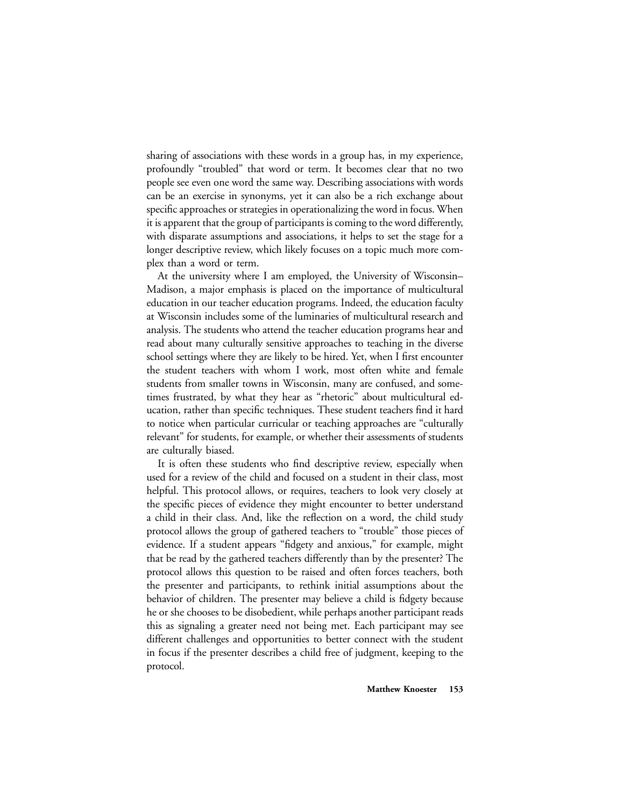sharing of associations with these words in a group has, in my experience, profoundly "troubled" that word or term. It becomes clear that no two people see even one word the same way. Describing associations with words can be an exercise in synonyms, yet it can also be a rich exchange about specific approaches or strategies in operationalizing the word in focus. When it is apparent that the group of participants is coming to the word differently, with disparate assumptions and associations, it helps to set the stage for a longer descriptive review, which likely focuses on a topic much more complex than a word or term.

At the university where I am employed, the University of Wisconsin– Madison, a major emphasis is placed on the importance of multicultural education in our teacher education programs. Indeed, the education faculty at Wisconsin includes some of the luminaries of multicultural research and analysis. The students who attend the teacher education programs hear and read about many culturally sensitive approaches to teaching in the diverse school settings where they are likely to be hired. Yet, when I first encounter the student teachers with whom I work, most often white and female students from smaller towns in Wisconsin, many are confused, and sometimes frustrated, by what they hear as "rhetoric" about multicultural education, rather than specific techniques. These student teachers find it hard to notice when particular curricular or teaching approaches are "culturally relevant" for students, for example, or whether their assessments of students are culturally biased.

It is often these students who find descriptive review, especially when used for a review of the child and focused on a student in their class, most helpful. This protocol allows, or requires, teachers to look very closely at the specific pieces of evidence they might encounter to better understand a child in their class. And, like the reflection on a word, the child study protocol allows the group of gathered teachers to "trouble" those pieces of evidence. If a student appears "fidgety and anxious," for example, might that be read by the gathered teachers differently than by the presenter? The protocol allows this question to be raised and often forces teachers, both the presenter and participants, to rethink initial assumptions about the behavior of children. The presenter may believe a child is fidgety because he or she chooses to be disobedient, while perhaps another participant reads this as signaling a greater need not being met. Each participant may see different challenges and opportunities to better connect with the student in focus if the presenter describes a child free of judgment, keeping to the protocol.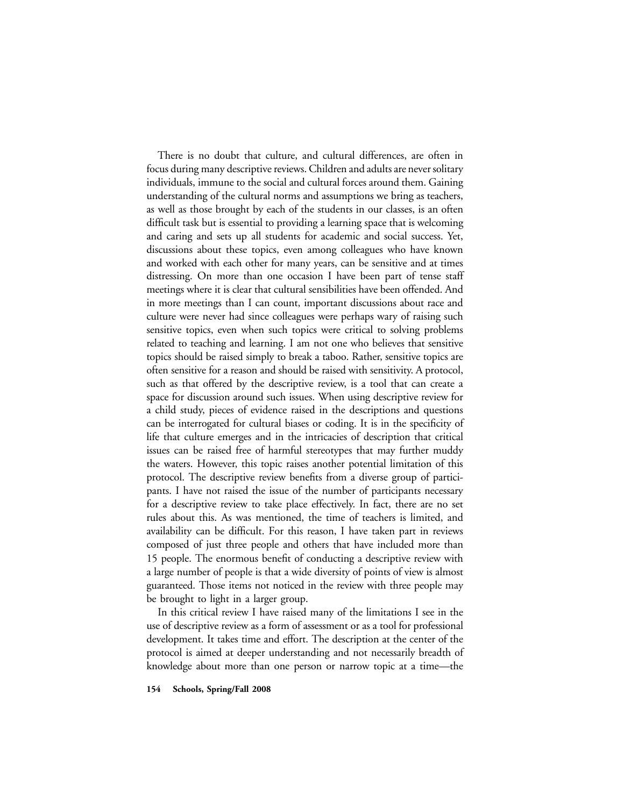There is no doubt that culture, and cultural differences, are often in focus during many descriptive reviews. Children and adults are never solitary individuals, immune to the social and cultural forces around them. Gaining understanding of the cultural norms and assumptions we bring as teachers, as well as those brought by each of the students in our classes, is an often difficult task but is essential to providing a learning space that is welcoming and caring and sets up all students for academic and social success. Yet, discussions about these topics, even among colleagues who have known and worked with each other for many years, can be sensitive and at times distressing. On more than one occasion I have been part of tense staff meetings where it is clear that cultural sensibilities have been offended. And in more meetings than I can count, important discussions about race and culture were never had since colleagues were perhaps wary of raising such sensitive topics, even when such topics were critical to solving problems related to teaching and learning. I am not one who believes that sensitive topics should be raised simply to break a taboo. Rather, sensitive topics are often sensitive for a reason and should be raised with sensitivity. A protocol, such as that offered by the descriptive review, is a tool that can create a space for discussion around such issues. When using descriptive review for a child study, pieces of evidence raised in the descriptions and questions can be interrogated for cultural biases or coding. It is in the specificity of life that culture emerges and in the intricacies of description that critical issues can be raised free of harmful stereotypes that may further muddy the waters. However, this topic raises another potential limitation of this protocol. The descriptive review benefits from a diverse group of participants. I have not raised the issue of the number of participants necessary for a descriptive review to take place effectively. In fact, there are no set rules about this. As was mentioned, the time of teachers is limited, and availability can be difficult. For this reason, I have taken part in reviews composed of just three people and others that have included more than 15 people. The enormous benefit of conducting a descriptive review with a large number of people is that a wide diversity of points of view is almost guaranteed. Those items not noticed in the review with three people may be brought to light in a larger group.

In this critical review I have raised many of the limitations I see in the use of descriptive review as a form of assessment or as a tool for professional development. It takes time and effort. The description at the center of the protocol is aimed at deeper understanding and not necessarily breadth of knowledge about more than one person or narrow topic at a time—the